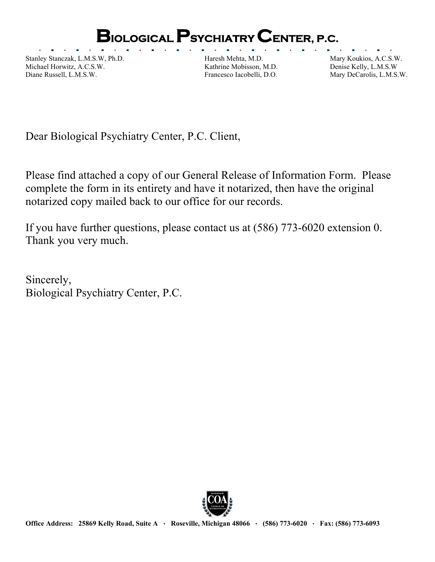## **BIOLOGICAL PSYCHIATRY CENTER, P.C.**

Stanley Stanczak, L.M.S.W, Ph.D. Haresh Mehta, M.D. Mary Koukios, A.C.S.W. Michael Horwitz, A.C.S.W. Kathrine Mobisson, M.D. Denise Kelly, L.M.S.W Diane Russell, L.M.S.W. Francesco Iacobelli, D.O. Mary DeCarolis, L.M.S.W.

 $\overline{\phantom{a}}$ 

Dear Biological Psychiatry Center, P.C. Client,

Please find attached a copy of our General Release of Information Form. Please complete the form in its entirety and have it notarized, then have the original notarized copy mailed back to our office for our records.

If you have further questions, please contact us at (586) 773-6020 extension 0. Thank you very much.

Sincerely, Biological Psychiatry Center, P.C.